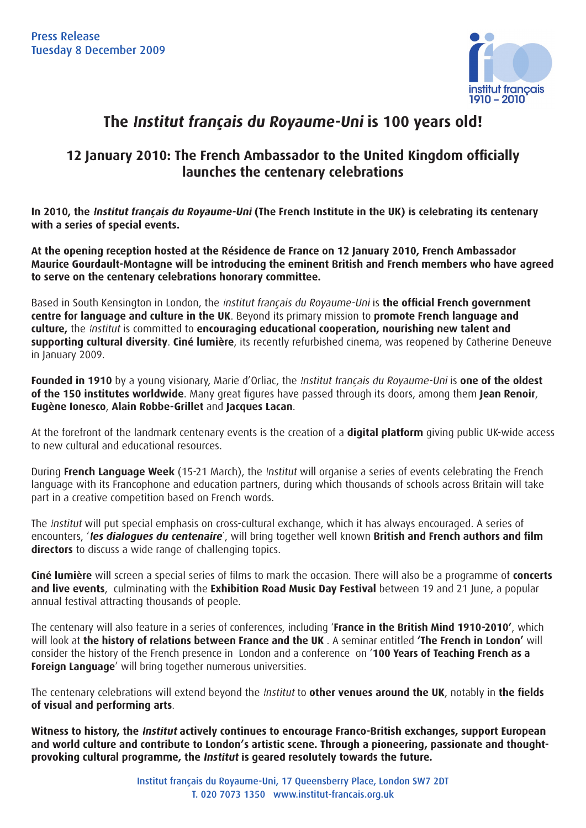

# **The Institut français du Royaume-Uni is 100 years old!**

## **12 January 2010: The French Ambassador to the United Kingdom officially launches the centenary celebrations**

**In 2010, the Institut français du Royaume-Uni (The French Institute in the UK) is celebrating its centenary with a series of special events.** 

**At the opening reception hosted at the Résidence de France on 12 January 2010, French Ambassador Maurice Gourdault-Montagne will be introducing the eminent British and French members who have agreed to serve on the centenary celebrations honorary committee.** 

Based in South Kensington in London, the *Institut français du Royaume-Uni* is **the official French government centre for language and culture in the UK**. Beyond its primary mission to **promote French language and culture,** the Institut is committed to **encouraging educational cooperation, nourishing new talent and supporting cultural diversity**. **Ciné lumière**, its recently refurbished cinema, was reopened by Catherine Deneuve in January 2009.

**Founded in 1910** by a young visionary, Marie d'Orliac, the Institut français du Royaume-Uni is **one of the oldest of the 150 institutes worldwide**. Many great figures have passed through its doors, among them Jean Renoir, **Eugène Ionesco**, **Alain Robbe-Grillet** and **Jacques Lacan**.

At the forefront of the landmark centenary events is the creation of a **digital platform** giving public UK-wide access to new cultural and educational resources.

During **French Language Week** (15-21 March), the Institut will organise a series of events celebrating the French language with its Francophone and education partners, during which thousands of schools across Britain will take part in a creative competition based on French words.

The Institut will put special emphasis on cross-cultural exchange, which it has always encouraged. A series of encounters, 'les dialogues du centenaire', will bring together well known British and French authors and film **directors** to discuss a wide range of challenging topics.

**Ciné lumière** will screen a special series of films to mark the occasion. There will also be a programme of **concerts and live events**, culminating with the **Exhibition Road Music Day Festival** between 19 and 21 June, a popular annual festival attracting thousands of people.

The centenary will also feature in a series of conferences, including '**France in the British Mind 1910-2010'**, which will look at **the history of relations between France and the UK** . A seminar entitled **'The French in London'** will consider the history of the French presence in London and a conference on '**100 Years of Teaching French as a Foreign Language**' will bring together numerous universities.

The centenary celebrations will extend beyond the *Institut* to **other venues around the UK**, notably in **the fields of visual and performing arts**.

**Witness to history, the Institut actively continues to encourage Franco-British exchanges, support European and world culture and contribute to London's artistic scene. Through a pioneering, passionate and thought**provoking cultural programme, the *Institut* is geared resolutely towards the future.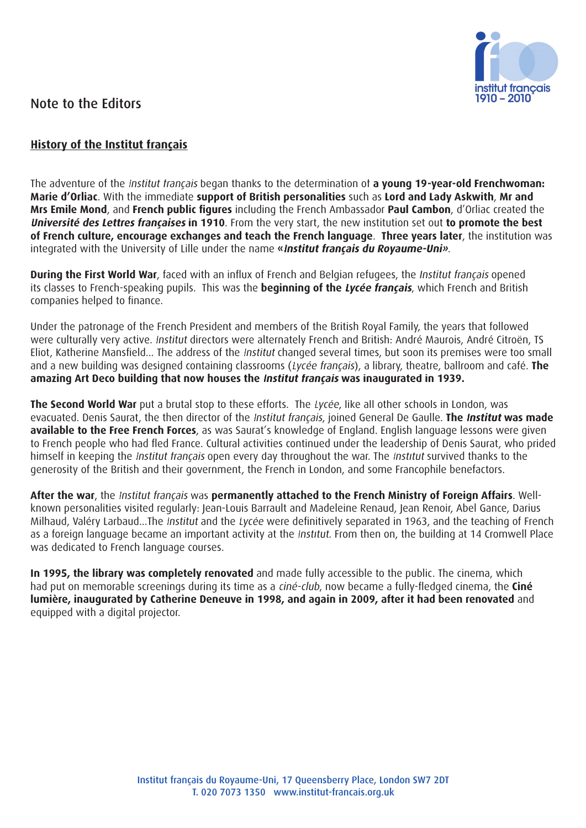

### Note to the Editors

#### **History of the Institut français**

The adventure of the Institut français began thanks to the determination of **a young 19-year-old Frenchwoman: Marie d'Orliac**. With the immediate **support of British personalities** such as **Lord and Lady Askwith**, **Mr and Mrs Emile Mond**, and **French public figures** including the French Ambassador **Paul Cambon**, d'Orliac created the **Université des Lettres françaises in 1910**. From the very start, the new institution set out **to promote the best of French culture, encourage exchanges and teach the French language**. **Three years later**, the institution was integrated with the University of Lille under the name **«Institut français du Royaume-Uni»**.

**During the First World War**, faced with an influx of French and Belgian refugees, the Institut francais' opened its classes to French-speaking pupils. This was the **beginning of the Lycée français**, which French and British companies helped to finance.

Under the patronage of the French President and members of the British Royal Family, the years that followed were culturally very active. Institut directors were alternately French and British: André Maurois, André Citroën, TS Eliot, Katherine Mansfield... The address of the Institut changed several times, but soon its premises were too small and a new building was designed containing classrooms (Lycée français), a library, theatre, ballroom and café. **The amazing Art Deco building that now houses the Institut français was inaugurated in 1939. 1939.**

**The Second World War** put a brutal stop to these efforts. The Lycée, like all other schools in London, was evacuated. Denis Saurat, the then director of the Institut français, joined General De Gaulle. **The Institut was made available to the Free French Forces**, as was Saurat's knowledge of England. English language lessons were given to French people who had fled France. Cultural activities continued under the leadership of Denis Saurat, who prided himself in keeping the *Institut français* open every day throughout the war. The *Institut* survived thanks to the generosity of the British and their government, the French in London, and some Francophile benefactors.

**After the war**, the Institut français was **permanently attached to the French Ministry of Foreign Affairs**. Wellknown personalities visited regularly: Jean-Louis Barrault and Madeleine Renaud, Jean Renoir, Abel Gance, Darius Milhaud, Valéry Larbaud...The Institut and the Lycée were definitively separated in 1963, and the teaching of French as a foreign language became an important activity at the Institut. From then on, the building at 14 Cromwell Place was dedicated to French language courses.

**In 1995, the library was completely renovated** and made fully accessible to the public. The cinema, which had put on memorable screenings during its time as a ciné-club, now became a fully-fledged cinema, the **Ciné lumière, inaugurated by Catherine Deneuve in 1998, and again in 2009, after it had been renovated** and equipped with a digital projector.